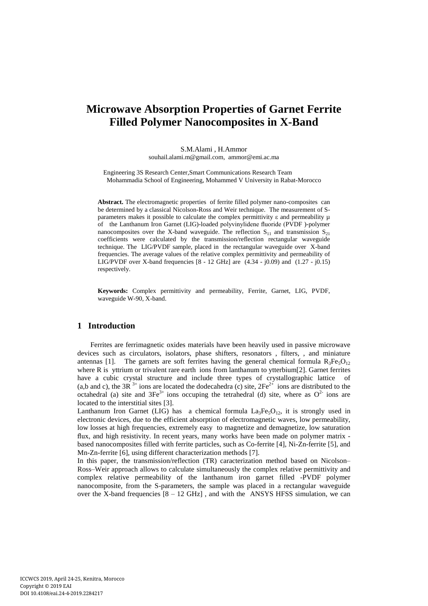# **Microwave Absorption Properties of Garnet Ferrite Filled Polymer Nanocomposites in X-Band**

S.M.Alami , H.Ammor souhail.alami.m@gmail.com, ammor@emi.ac.ma

Engineering 3S Research Center,Smart Communications Research Team Mohammadia School of Engineering, Mohammed V University in Rabat-Morocco

**Abstract.** The electromagnetic properties of ferrite filled polymer nano-composites can be determined by a classical Nicolson-Ross and Weir technique. The measurement of Sparameters makes it possible to calculate the complex permittivity  $\varepsilon$  and permeability  $\mu$ of the Lanthanum Iron Garnet (LIG)-loaded polyvinylidene fluoride (PVDF )-polymer nanocomposites over the X-band waveguide. The reflection  $S_{11}$  and transmission  $S_{21}$ coefficients were calculated by the transmission/reflection rectangular waveguide technique. The LIG/PVDF sample, placed in the rectangular waveguide over X-band frequencies. The average values of the relative complex permittivity and permeability of LIG/PVDF over X-band frequencies [8 - 12 GHz] are (4.34 - j0.09) and (1.27 - j0.15) respectively.

**Keywords:** Complex permittivity and permeability, Ferrite, Garnet, LIG, PVDF, waveguide W-90, X-band.

# **1 Introduction**

Ferrites are ferrimagnetic oxides materials have been heavily used in passive microwave devices such as circulators, isolators, phase shifters, resonators , filters, , and miniature antennas [1]. The garnets are soft ferrites having the general chemical formula  $R_3Fe_5O_{12}$ where R is yttrium or trivalent rare earth ions from lanthanum to ytterbium[2]. Garnet ferrites have a cubic crystal structure and include three types of crystallographic lattice of (a,b and c), the 3R<sup>3+</sup> ions are located the dodecahedra (c) site,  $2Fe^{2+}$  ions are distributed to the octahedral (a) site and  $3Fe^{3+}$  ions occuping the tetrahedral (d) site, where as  $O^{2-}$  ions are located to the interstitial sites [3].

Lanthanum Iron Garnet (LIG) has a chemical formula  $La<sub>3</sub>Fe<sub>5</sub>O<sub>12</sub>$ , it is strongly used in electronic devices, due to the efficient absorption of electromagnetic waves, low permeability, low losses at high frequencies, extremely easy to magnetize and demagnetize, low saturation flux, and high resistivity. In recent years, many works have been made on polymer matrix based nanocomposites filled with ferrite particles, such as Co-ferrite [4], Ni-Zn-ferrite [5], and Mn-Zn-ferrite [6], using different characterization methods [7].

In this paper, the transmission/reflection (TR) caracterization method based on Nicolson– Ross–Weir approach allows to calculate simultaneously the complex relative permittivity and complex relative permeability of the lanthanum iron garnet filled -PVDF polymer nanocomposite, from the S-parameters, the sample was placed in a rectangular waveguide over the X-band frequencies  $[8 - 12 \text{ GHz}]$ , and with the ANSYS HFSS simulation, we can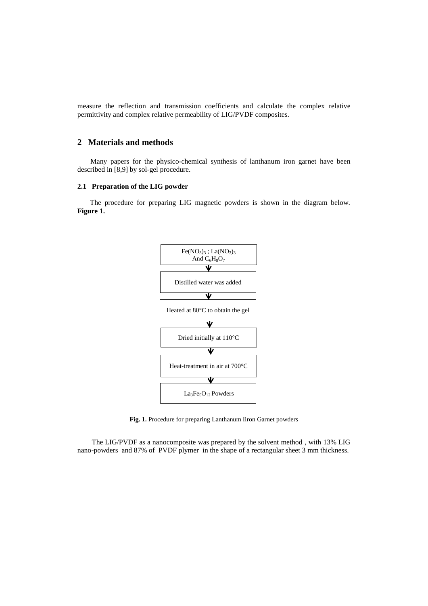measure the reflection and transmission coefficients and calculate the complex relative permittivity and complex relative permeability of LIG/PVDF composites.

# **2 Materials and methods**

Many papers for the physico-chemical synthesis of lanthanum iron garnet have been described in [8,9] by sol-gel procedure.

### **2.1 Preparation of the LIG powder**

 The procedure for preparing LIG magnetic powders is shown in the diagram below. **Figure 1.**



**Fig. 1.** Procedure for preparing Lanthanum Iiron Garnet powders

 The LIG/PVDF as a nanocomposite was prepared by the solvent method , with 13% LIG nano-powders and 87% of PVDF plymer in the shape of a rectangular sheet 3 mm thickness.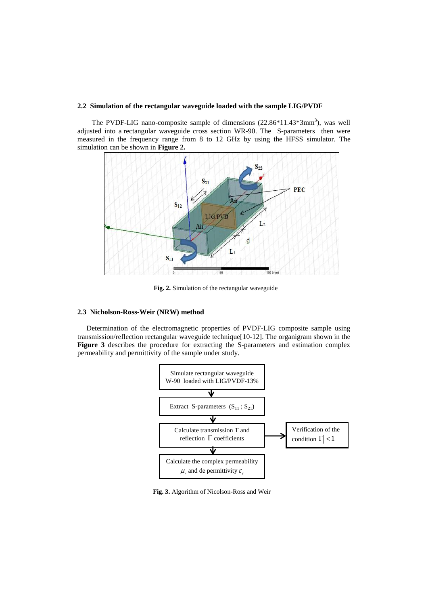#### **2.2 Simulation of the rectangular waveguide loaded with the sample LIG/PVDF**

The PVDF-LIG nano-composite sample of dimensions  $(22.86*11.43*3mm^3)$ , was well adjusted into a rectangular waveguide cross section WR-90. The S-parameters then were measured in the frequency range from 8 to 12 GHz by using the HFSS simulator. The simulation can be shown in **Figure 2.**



**Fig. 2.** Simulation of the rectangular waveguide

#### **2.3 Nicholson-Ross-Weir (NRW) method**

 Determination of the electromagnetic properties of PVDF-LIG composite sample using transmission/reflection rectangular waveguide technique[10-12]. The organigram shown in the **Figure 3** describes the procedure for extracting the S-parameters and estimation complex permeability and permittivity of the sample under study.



**Fig. 3.** Algorithm of Nicolson-Ross and Weir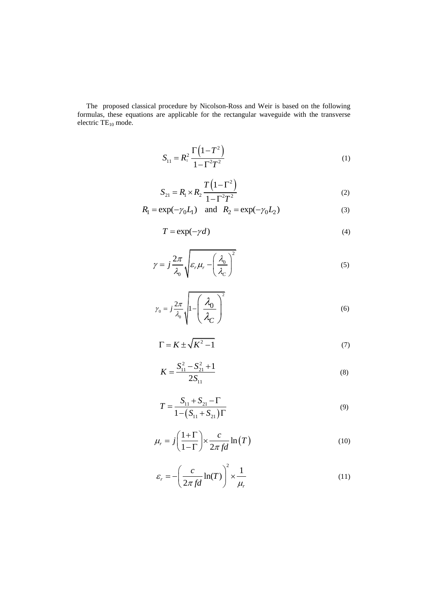The proposed classical procedure by Nicolson-Ross and Weir is based on the following formulas, these equations are applicable for the rectangular waveguide with the transverse electric  $TE_{10}$  mode.

$$
S_{11} = R_1^2 \frac{\Gamma(1 - T^2)}{1 - \Gamma^2 T^2}
$$
 (1)

$$
S_{21} = R_1 \times R_2 \frac{T(1 - \Gamma^2)}{1 - \Gamma^2 T^2}
$$
 (2)

$$
R_1 = \exp(-\gamma_0 L_1)
$$
 and  $R_2 = \exp(-\gamma_0 L_2)$  (3)

$$
T = \exp(-\gamma d) \tag{4}
$$

$$
\gamma = j \frac{2\pi}{\lambda_0} \sqrt{\varepsilon_r \mu_r - \left(\frac{\lambda_0}{\lambda_c}\right)^2}
$$
\n(5)

$$
\gamma_0 = j \frac{2\pi}{\lambda_0} \sqrt{1 - \left(\frac{\lambda_0}{\lambda_C}\right)^2} \tag{6}
$$

$$
\Gamma = K \pm \sqrt{K^2 - 1} \tag{7}
$$

$$
K = \frac{S_{11}^2 - S_{21}^2 + 1}{2S_{11}}
$$
 (8)

$$
T = \frac{S_{11} + S_{21} - \Gamma}{1 - (S_{11} + S_{21})\Gamma}
$$
\n(9)

$$
\mu_r = j \left( \frac{1+\Gamma}{1-\Gamma} \right) \times \frac{c}{2\pi f d} \ln(T)
$$
\n(10)

$$
\varepsilon_r = -\left(\frac{c}{2\pi fd}\ln(T)\right)^2 \times \frac{1}{\mu_r}
$$
\n(11)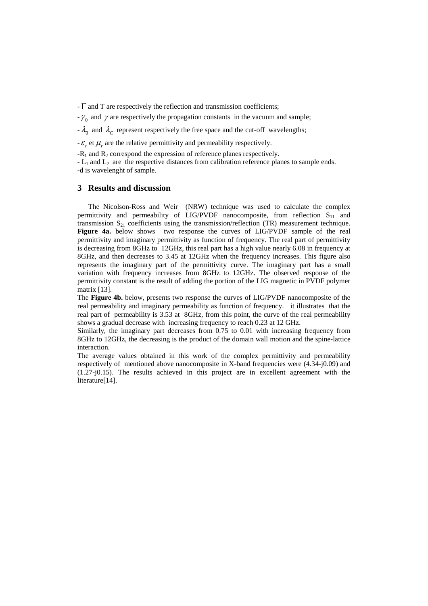-  $\Gamma$  and T are respectively the reflection and transmission coefficients;

 $-\gamma_0$  and  $\gamma$  are respectively the propagation constants in the vacuum and sample;

 $-\lambda_0$  and  $\lambda_c$  represent respectively the free space and the cut-off wavelengths;

 $-\varepsilon_r$  et  $\mu_r$  are the relative permittivity and permeability respectively.

 $-R_1$  and  $R_2$  correspond the expression of reference planes respectively.

 $-L_1$  and  $L_2$  are the respective distances from calibration reference planes to sample ends. -d is wavelenght of sample.

#### **3 Results and discussion**

 The Nicolson-Ross and Weir (NRW) technique was used to calculate the complex permittivity and permeability of LIG/PVDF nanocomposite, from reflection  $S_{11}$  and transmission  $S_{21}$  coefficients using the transmission/reflection (TR) measurement technique. **Figure 4a.** below shows two response the curves of LIG/PVDF sample of the real permittivity and imaginary permittivity as function of frequency. The real part of permittivity is decreasing from 8GHz to 12GHz, this real part has a high value nearly 6.08 in frequency at 8GHz, and then decreases to 3.45 at 12GHz when the frequency increases. This figure also represents the imaginary part of the permittivity curve. The imaginary part has a small variation with frequency increases from 8GHz to 12GHz. The observed response of the permittivity constant is the result of adding the portion of the LIG magnetic in PVDF polymer matrix [13].

The **Figure 4b.** below, presents two response the curves of LIG/PVDF nanocomposite of the real permeability and imaginary permeability as function of frequency. it illustrates that the real part of permeability is 3.53 at 8GHz, from this point, the curve of the real permeability shows a gradual decrease with increasing frequency to reach 0.23 at 12 GHz.

Similarly, the imaginary part decreases from 0.75 to 0.01 with increasing frequency from 8GHz to 12GHz, the decreasing is the product of the domain wall motion and the spine-lattice interaction.

The average values obtained in this work of the complex permittivity and permeability respectively of mentioned above nanocomposite in X-band frequencies were (4.34-j0.09) and (1.27-j0.15). The results achieved in this project are in excellent agreement with the literature[14].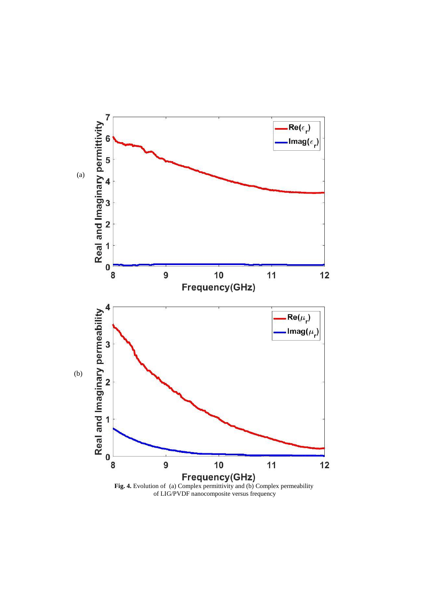

of LIG/PVDF nanocomposite versus frequency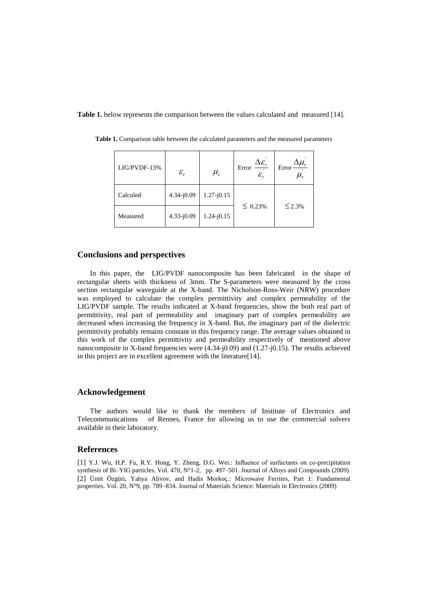**Table 1.** below represents the comparison between the values calculated and measured [14].

| LIG/PVDF-13% | $\varepsilon_{\scriptscriptstyle r}$ | $\mu_{\rm r}$  | $\Delta \varepsilon_r$<br>Error<br>$\mathcal{E}_{r}$ | $\Delta \mu_{_r}$<br>Error<br>и, |
|--------------|--------------------------------------|----------------|------------------------------------------------------|----------------------------------|
| Calculed     | $4.34 - j0.09$                       | $1.27 - j0.15$ | $\leq 0.23\%$                                        | $\leq 2.3\%$                     |
| Measured     | $4.33 - j0.09$                       | $1.24 - j0.15$ |                                                      |                                  |

**Table 1.** Comparison table between the calculated parameters and the measured parameters

#### **Conclusions and perspectives**

 In this paper, the LIG/PVDF nanocomposite has been fabricated in the shape of rectangular sheets with thickness of 3mm. The S-parameters were measured by the cross section rectangular waveguide at the X-band. The Nicholson-Ross-Weir (NRW) procedure was employed to calculate the complex permittivity and complex permeability of the LIG/PVDF sample. The results indicated at X-band frequencies, show the both real part of permittivity, real part of permeability and imaginary part of complex permeability are decreased when increasing the frequency in X-band. But, the imaginary part of the dielectric permittivity probably remains constant in this frequency range. The average values obtained in this work of the complex permittivity and permeability respectively of mentioned above nanocomposite in X-band frequencies were (4.34-j0.09) and (1.27-j0.15). The results achieved in this project are in excellent agreement with the literature[14].

## **Acknowledgement**

 The authors would like to thank the members of Institute of Electronics and Telecommunications of Rennes, France for allowing us to use the commercial solvers available in their laboratory.

#### **References**

[1] Y.J. Wu, H.P. Fu, R.Y. Hong, Y. Zheng, D.G. Wei.: Influence of surfactants on co-precipitation synthesis of Bi–YIG particles. Vol. 470, N°1-2, pp. 497–501. Journal of Alloys and Compounds (2009) [2] Ümit Özgüri, Yahya Alivov, and Hadis Morkoç.: Microwave Ferrites, Part 1: Fundamental properties. Vol. 20, N°9, pp. 789–834. Journal of Materials Science: Materials in Electronics (2009)